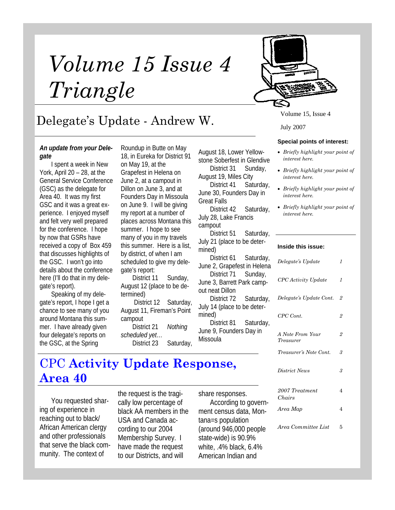# *Volume 15 Issue 4 Triangle*



## Delegate's Update - Andrew W.

#### *An update from your Delegate*

I spent a week in New York, April 20 – 28, at the General Service Conference (GSC) as the delegate for Area 40. It was my first GSC and it was a great experience. I enjoyed myself and felt very well prepared for the conference. I hope by now that GSRs have received a copy of Box 459 that discusses highlights of the GSC. I won't go into details about the conference here (I'll do that in my delegate's report).

Speaking of my delegate's report, I hope I get a chance to see many of you around Montana this summer. I have already given four delegate's reports on the GSC, at the Spring

Roundup in Butte on May 18, in Eureka for District 91 on May 19, at the Grapefest in Helena on June 2, at a campout in Dillon on June 3, and at Founders Day in Missoula on June 9. I will be giving my report at a number of places across Montana this summer. I hope to see many of you in my travels this summer. Here is a list, by district, of when I am scheduled to give my delegate's report:

District 11 Sunday, August 12 (place to be determined)

 District 12 Saturday, August 11, Fireman's Point campout

District 21 *Nothing scheduled yet…* District 23 Saturday, August 18, Lower Yellowstone Soberfest in Glendive District 31 Sunday,

August 19, Miles City District 41 Saturday,

June 30, Founders Day in Great Falls

District 42 Saturday, July 28, Lake Francis campout

District 51 Saturday, July 21 (place to be determined)

District 61 Saturday, June 2, Grapefest in Helena District 71 Sunday,

June 3, Barrett Park campout neat Dillon District 72 Saturday,

July 14 (place to be determined) District 81 Saturday, June 9, Founders Day in

Missoula

### CPC **Activity Update Response, Area 40**

You requested sharing of experience in reaching out to black/ African American clergy and other professionals that serve the black community. The context of

the request is the tragically low percentage of black AA members in the USA and Canada according to our 2004 Membership Survey. I have made the request to our Districts, and will

share responses. According to government census data, Montana=s population (around 946,000 people state-wide) is 90.9% white, .4% black, 6.4% American Indian and

Volume 15, Issue 4

#### **Special points of interest:**

- *Briefly highlight your point of interest here.*
- *Briefly highlight your point of interest here.*
- *Briefly highlight your point of interest here.*
- *Briefly highlight your point of interest here.*

#### **Inside this issue:**

| Delegate's Update             | $\mathcal I$   |
|-------------------------------|----------------|
| CPC Activity Update           | $\mathcal I$   |
| Delegate's Update Cont.       | 2              |
| CPC Cont.                     | 2              |
| A Note From Your<br>Treasurer | $\overline{2}$ |
| Treasurer's Note Cont.        | 3              |
| District News                 | 3              |
| 2007 Treatment<br>Chairs      | 4              |
| Area Map                      | 4              |
| Area Committee List           | 5              |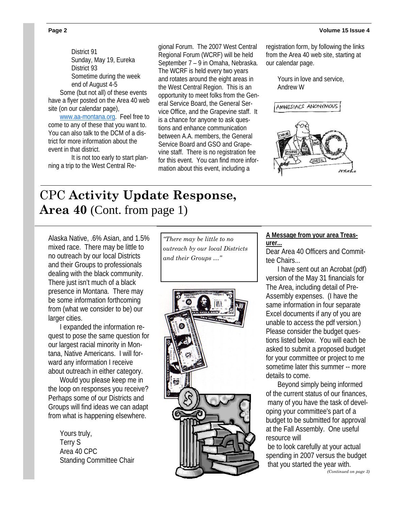District 91 Sunday, May 19, Eureka District 93 Sometime during the week end of August 4-5 Some (but not all) of these events have a flyer posted on the Area 40 web site (on our calendar page),

www.aa-montana.org. Feel free to come to any of these that you want to. You can also talk to the DCM of a district for more information about the event in that district.

 It is not too early to start planning a trip to the West Central Re-

gional Forum. The 2007 West Central Regional Forum (WCRF) will be held September 7 – 9 in Omaha, Nebraska. The WCRF is held every two years and rotates around the eight areas in the West Central Region. This is an opportunity to meet folks from the General Service Board, the General Service Office, and the Grapevine staff. It is a chance for anyone to ask questions and enhance communication between A.A. members, the General Service Board and GSO and Grapevine staff. There is no registration fee for this event. You can find more information about this event, including a

registration form, by following the links from the Area 40 web site, starting at our calendar page.

> Yours in love and service, Andrew W



### CPC **Activity Update Response, Area 40** (Cont. from page 1)

Alaska Native, .6% Asian, and 1.5% mixed race. There may be little to no outreach by our local Districts and their Groups to professionals dealing with the black community. There just isn't much of a black presence in Montana. There may be some information forthcoming from (what we consider to be) our larger cities.

I expanded the information request to pose the same question for our largest racial minority in Montana, Native Americans. I will forward any information I receive about outreach in either category.

Would you please keep me in the loop on responses you receive? Perhaps some of our Districts and Groups will find ideas we can adapt from what is happening elsewhere.

> Yours truly, Terry S Area 40 CPC Standing Committee Chair

*"There may be little to no outreach by our local Districts and their Groups …"* 



#### **A Message from your area Treasurer...**

Dear Area 40 Officers and Committee Chairs...

I have sent out an Acrobat (pdf) version of the May 31 financials for The Area, including detail of Pre-Assembly expenses. (I have the same information in four separate Excel documents if any of you are unable to access the pdf version.) Please consider the budget questions listed below. You will each be asked to submit a proposed budget for your committee or project to me sometime later this summer -- more details to come.

Beyond simply being informed of the current status of our finances, many of you have the task of developing your committee's part of a budget to be submitted for approval at the Fall Assembly. One useful resource will

 be to look carefully at your actual spending in 2007 versus the budget that you started the year with.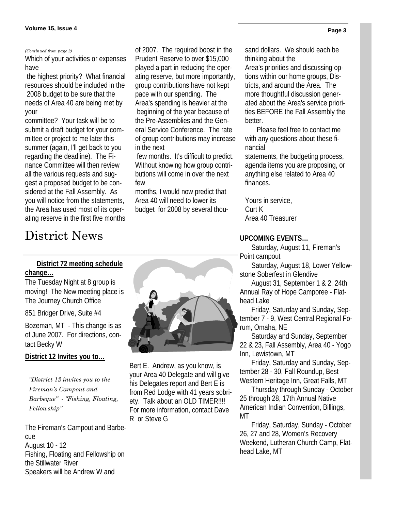Which of your activities or expenses have

 the highest priority? What financial resources should be included in the 2008 budget to be sure that the needs of Area 40 are being met by your

committee? Your task will be to submit a draft budget for your committee or project to me later this summer (again, I'll get back to you regarding the deadline). The Finance Committee will then review all the various requests and suggest a proposed budget to be considered at the Fall Assembly. As you will notice from the statements, the Area has used most of its operating reserve in the first five months

*(Continued from page 2)* of 2007. The required boost in the Prudent Reserve to over \$15,000 played a part in reducing the operating reserve, but more importantly, group contributions have not kept pace with our spending. The Area's spending is heavier at the beginning of the year because of the Pre-Assemblies and the General Service Conference. The rate of group contributions may increase in the next

> few months. It's difficult to predict. Without knowing how group contributions will come in over the next few

months, I would now predict that Area 40 will need to lower its budget for 2008 by several thousand dollars. We should each be thinking about the Area's priorities and discussing options within our home groups, Districts, and around the Area. The more thoughtful discussion generated about the Area's service priorities BEFORE the Fall Assembly the better.

Please feel free to contact me with any questions about these financial

statements, the budgeting process, agenda items you are proposing, or anything else related to Area 40 finances.

Yours in service, Curt K Area 40 Treasurer

#### **UPCOMING EVENTS…**

Saturday, August 11, Fireman's Point campout

Saturday, August 18, Lower Yellowstone Soberfest in Glendive

August 31, September 1 & 2, 24th Annual Ray of Hope Camporee - Flathead Lake

Friday, Saturday and Sunday, September 7 - 9, West Central Regional Forum, Omaha, NE

Saturday and Sunday, September 22 & 23, Fall Assembly, Area 40 - Yogo Inn, Lewistown, MT

Friday, Saturday and Sunday, September 28 - 30, Fall Roundup, Best Western Heritage Inn, Great Falls, MT

Thursday through Sunday - October 25 through 28, 17th Annual Native American Indian Convention, Billings, MT

Friday, Saturday, Sunday - October 26, 27 and 28, Women's Recovery Weekend, Lutheran Church Camp, Flathead Lake, MT

### District News

### **District 72 meeting schedule change…**

The Tuesday Night at 8 group is moving! The New meeting place is The Journey Church Office

851 Bridger Drive, Suite #4

Bozeman, MT - This change is as of June 2007. For directions, contact Becky W

#### **District 12 Invites you to…**

*"District 12 invites you to the Fireman's Campout and Barbeque" - "Fishing, Floating, Fellowship"* 

The Fireman's Campout and Barbecue August 10 - 12 Fishing, Floating and Fellowship on the Stillwater River Speakers will be Andrew W and



Bert E. Andrew, as you know, is your Area 40 Delegate and will give his Delegates report and Bert E is from Red Lodge with 41 years sobriety. Talk about an OLD TIMER!!!! For more information, contact Dave R or Steve G